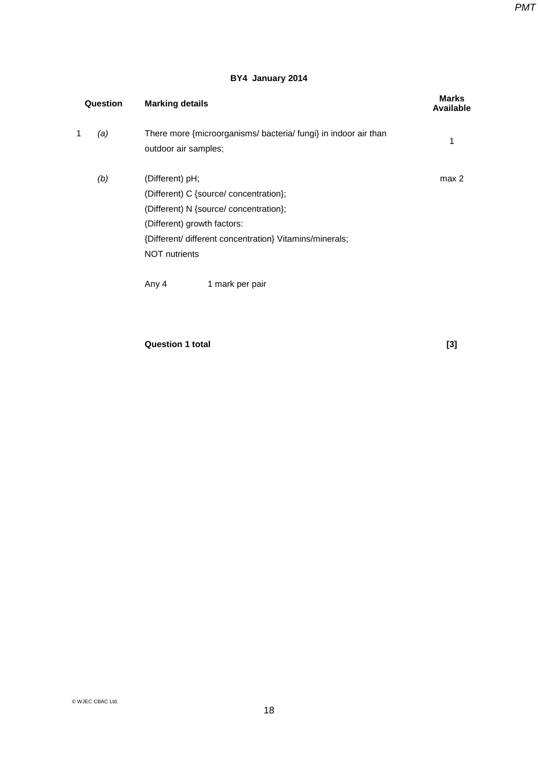### **BY4 January 2014**

| Question |     | <b>Marking details</b>                                                                  | <b>Marks</b><br><b>Available</b> |
|----------|-----|-----------------------------------------------------------------------------------------|----------------------------------|
| 1        | (a) | There more {microorganisms/ bacteria/ fungi} in indoor air than<br>outdoor air samples; | 1                                |
|          | (b) | (Different) pH;                                                                         | max 2                            |
|          |     | (Different) C {source/ concentration};                                                  |                                  |
|          |     | (Different) N {source/ concentration};                                                  |                                  |
|          |     | (Different) growth factors:                                                             |                                  |
|          |     | {Different/ different concentration} Vitamins/minerals;                                 |                                  |
|          |     | <b>NOT</b> nutrients                                                                    |                                  |
|          |     | 1 mark per pair<br>Any 4                                                                |                                  |
|          |     |                                                                                         |                                  |

**Question 1 total [3]**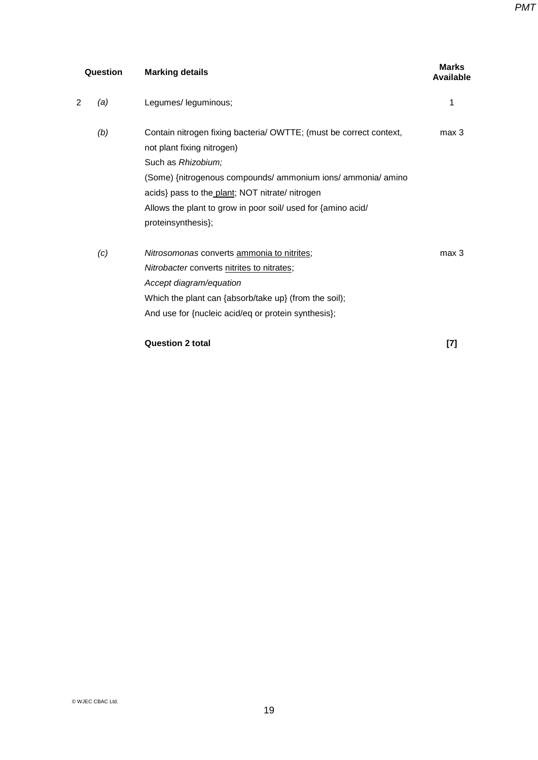| Question |     | <b>Marking details</b>                                                                                                                                                                                                                                                                                                          | <b>Marks</b><br>Available |  |
|----------|-----|---------------------------------------------------------------------------------------------------------------------------------------------------------------------------------------------------------------------------------------------------------------------------------------------------------------------------------|---------------------------|--|
| 2        | (a) | Legumes/ leguminous;                                                                                                                                                                                                                                                                                                            | 1                         |  |
|          | (b) | Contain nitrogen fixing bacteria/ OWTTE; (must be correct context,<br>not plant fixing nitrogen)<br>Such as Rhizobium;<br>(Some) {nitrogenous compounds/ ammonium ions/ ammonia/ amino<br>acids} pass to the plant; NOT nitrate/ nitrogen<br>Allows the plant to grow in poor soil/ used for {amino acid/<br>proteinsynthesis}; | max 3                     |  |
|          | (c) | Nitrosomonas converts ammonia to nitrites;<br><i>Nitrobacter</i> converts nitrites to nitrates;<br>Accept diagram/equation<br>Which the plant can {absorb/take up} (from the soil);<br>And use for {nucleic acid/eq or protein synthesis};                                                                                      | max <sub>3</sub>          |  |

### **Question 2 total [7]**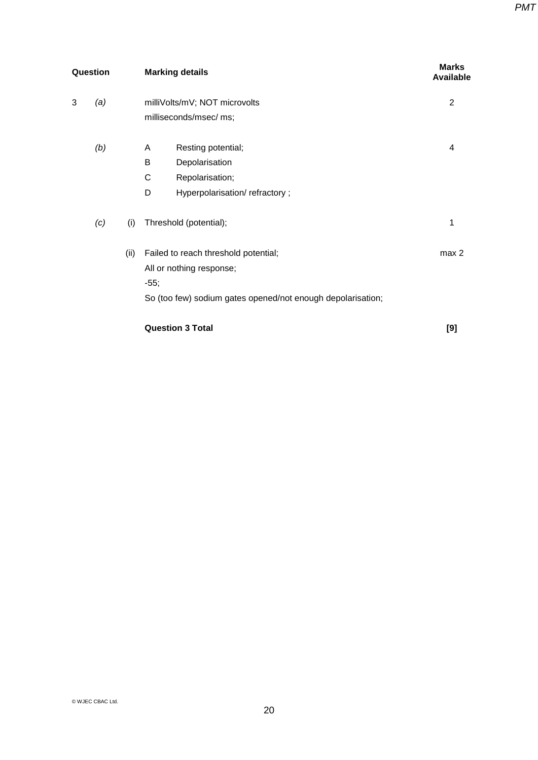| Question |     |      | <b>Marking details</b>                                                                                                                    |                  |
|----------|-----|------|-------------------------------------------------------------------------------------------------------------------------------------------|------------------|
| 3        | (a) |      | milliVolts/mV; NOT microvolts<br>milliseconds/msec/ ms;                                                                                   | $\overline{2}$   |
|          | (b) |      | Resting potential;<br>A<br>B<br>Depolarisation<br>С<br>Repolarisation;<br>D<br>Hyperpolarisation/refractory;                              | 4                |
|          | (c) | (i)  | Threshold (potential);                                                                                                                    | 1                |
|          |     | (ii) | Failed to reach threshold potential;<br>All or nothing response;<br>$-55;$<br>So (too few) sodium gates opened/not enough depolarisation; | max <sub>2</sub> |
|          |     |      | <b>Question 3 Total</b>                                                                                                                   | [9]              |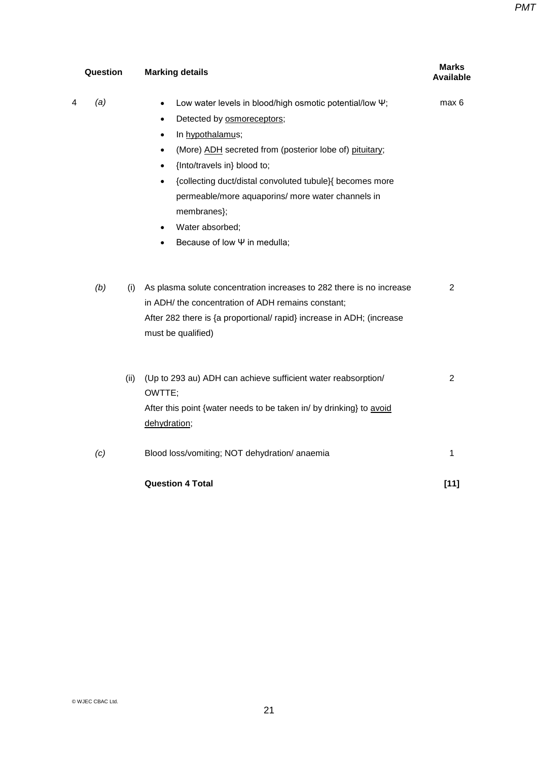*PMT*

| Question   | <b>Marking details</b>                                                                                                                                                                                                                                                                                                                                                                                                                                                                 | <b>Marks</b><br><b>Available</b> |
|------------|----------------------------------------------------------------------------------------------------------------------------------------------------------------------------------------------------------------------------------------------------------------------------------------------------------------------------------------------------------------------------------------------------------------------------------------------------------------------------------------|----------------------------------|
| (a)<br>4   | Low water levels in blood/high osmotic potential/low \;<br>$\bullet$<br>Detected by osmoreceptors;<br>$\bullet$<br>In hypothalamus;<br>$\bullet$<br>(More) ADH secreted from (posterior lobe of) pituitary;<br>$\bullet$<br>{Into/travels in} blood to;<br>$\bullet$<br>{collecting duct/distal convoluted tubule}{ becomes more<br>$\bullet$<br>permeable/more aquaporins/ more water channels in<br>membranes};<br>Water absorbed;<br>$\bullet$<br>Because of low $\Psi$ in medulla; | max 6                            |
| (b)<br>(i) | As plasma solute concentration increases to 282 there is no increase<br>in ADH/ the concentration of ADH remains constant;<br>After 282 there is {a proportional/ rapid} increase in ADH; (increase<br>must be qualified)                                                                                                                                                                                                                                                              | $\overline{2}$                   |
| (ii)       | (Up to 293 au) ADH can achieve sufficient water reabsorption/<br>OWTTE;<br>After this point {water needs to be taken in/ by drinking} to avoid<br>dehydration;                                                                                                                                                                                                                                                                                                                         | 2                                |
| (c)        | Blood loss/vomiting; NOT dehydration/ anaemia                                                                                                                                                                                                                                                                                                                                                                                                                                          | 1                                |
|            | <b>Question 4 Total</b>                                                                                                                                                                                                                                                                                                                                                                                                                                                                | $[11]$                           |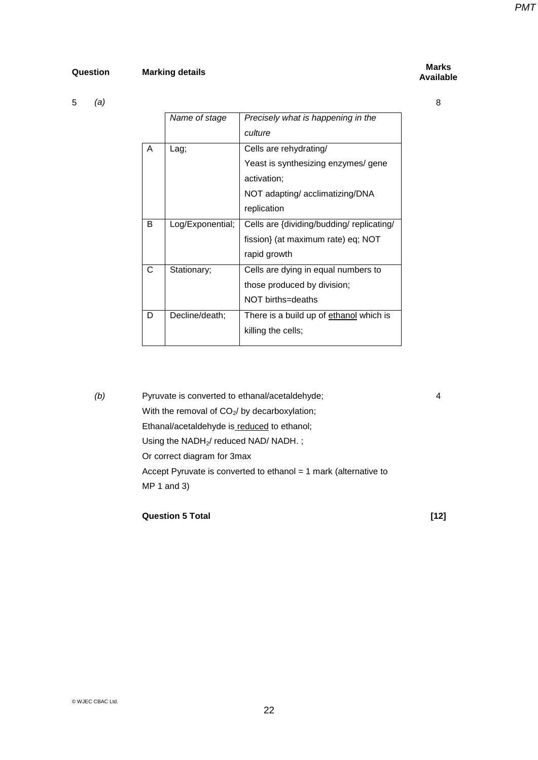## **Question Marking details Marks**

5 *(a)*

# **Available**

8

|   | Name of stage    | Precisely what is happening in the        |
|---|------------------|-------------------------------------------|
|   |                  | culture                                   |
| A | Lag;             | Cells are rehydrating/                    |
|   |                  | Yeast is synthesizing enzymes/ gene       |
|   |                  | activation;                               |
|   |                  | NOT adapting/ acclimatizing/DNA           |
|   |                  | replication                               |
| B | Log/Exponential; | Cells are {dividing/budding/ replicating/ |
|   |                  | fission} (at maximum rate) eq; NOT        |
|   |                  | rapid growth                              |
| С | Stationary;      | Cells are dying in equal numbers to       |
|   |                  | those produced by division;               |
|   |                  | NOT births=deaths                         |
| D | Decline/death;   | There is a build up of ethanol which is   |
|   |                  | killing the cells;                        |

*(b)* Pyruvate is converted to ethanal/acetaldehyde; With the removal of  $CO<sub>2</sub>$ / by decarboxylation; Ethanal/acetaldehyde is reduced to ethanol; Using the NADH<sub>2</sub>/ reduced NAD/ NADH.; Or correct diagram for 3max Accept Pyruvate is converted to ethanol = 1 mark (alternative to MP 1 and 3)

### **Question 5 Total [12]**

4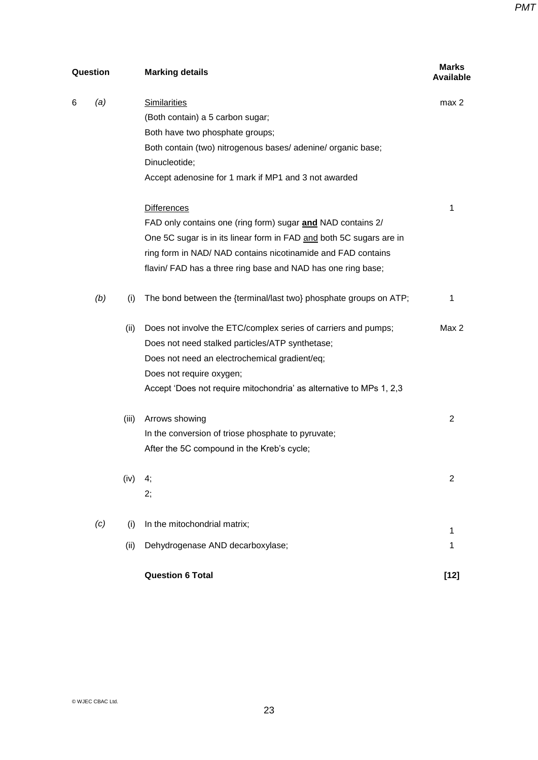*PMT*

| Question<br><b>Marking details</b>                                              | <b>Marks</b><br><b>Available</b> |
|---------------------------------------------------------------------------------|----------------------------------|
| 6<br>(a)<br><b>Similarities</b>                                                 | max 2                            |
| (Both contain) a 5 carbon sugar;                                                |                                  |
| Both have two phosphate groups;                                                 |                                  |
| Both contain (two) nitrogenous bases/adenine/organic base;                      |                                  |
| Dinucleotide;                                                                   |                                  |
| Accept adenosine for 1 mark if MP1 and 3 not awarded                            |                                  |
| <b>Differences</b>                                                              | 1                                |
| FAD only contains one (ring form) sugar and NAD contains 2/                     |                                  |
| One 5C sugar is in its linear form in FAD and both 5C sugars are in             |                                  |
| ring form in NAD/ NAD contains nicotinamide and FAD contains                    |                                  |
| flavin/ FAD has a three ring base and NAD has one ring base;                    |                                  |
| (b)<br>The bond between the {terminal/last two} phosphate groups on ATP;<br>(i) | 1                                |
| (ii)<br>Does not involve the ETC/complex series of carriers and pumps;          | Max 2                            |
| Does not need stalked particles/ATP synthetase;                                 |                                  |
| Does not need an electrochemical gradient/eq;                                   |                                  |
| Does not require oxygen;                                                        |                                  |
| Accept 'Does not require mitochondria' as alternative to MPs 1, 2,3             |                                  |
| Arrows showing<br>(iii)                                                         | $\overline{2}$                   |
| In the conversion of triose phosphate to pyruvate;                              |                                  |
| After the 5C compound in the Kreb's cycle;                                      |                                  |
| (iv)<br>4;                                                                      | 2                                |
| 2;                                                                              |                                  |
| In the mitochondrial matrix;<br>(c)<br>(i)                                      | 1                                |
| Dehydrogenase AND decarboxylase;<br>(ii)                                        | 1                                |
| <b>Question 6 Total</b>                                                         | $[12]$                           |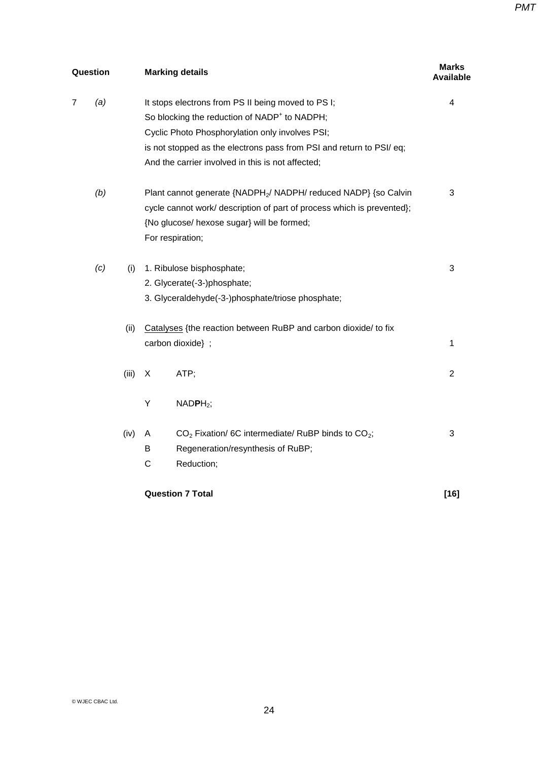| Question |     |       | <b>Marking details</b>                                                                                                                                                                                                                                                                         |                |
|----------|-----|-------|------------------------------------------------------------------------------------------------------------------------------------------------------------------------------------------------------------------------------------------------------------------------------------------------|----------------|
| 7        | (a) |       | It stops electrons from PS II being moved to PS I;<br>So blocking the reduction of NADP <sup>+</sup> to NADPH;<br>Cyclic Photo Phosphorylation only involves PSI;<br>is not stopped as the electrons pass from PSI and return to PSI/ eq;<br>And the carrier involved in this is not affected; | 4              |
|          | (b) |       | Plant cannot generate {NADPH <sub>2</sub> / NADPH/ reduced NADP} {so Calvin<br>cycle cannot work/ description of part of process which is prevented};<br>{No glucose/ hexose sugar} will be formed;<br>For respiration;                                                                        | 3              |
|          | (c) | (i)   | 1. Ribulose bisphosphate;<br>2. Glycerate(-3-)phosphate;<br>3. Glyceraldehyde(-3-)phosphate/triose phosphate;                                                                                                                                                                                  | 3              |
|          |     | (ii)  | Catalyses {the reaction between RuBP and carbon dioxide/ to fix<br>carbon dioxide} ;                                                                                                                                                                                                           | 1              |
|          |     | (iii) | ATP;<br>X<br>Υ<br>$NADPH2$ ;                                                                                                                                                                                                                                                                   | $\overline{2}$ |
|          |     | (iv)  | $CO2 Fixation/6C intermediate/ RuBP binds to CO2;$<br>Α<br>Regeneration/resynthesis of RuBP;<br>В<br>C<br>Reduction;                                                                                                                                                                           | 3              |
|          |     |       | <b>Question 7 Total</b>                                                                                                                                                                                                                                                                        | $[16]$         |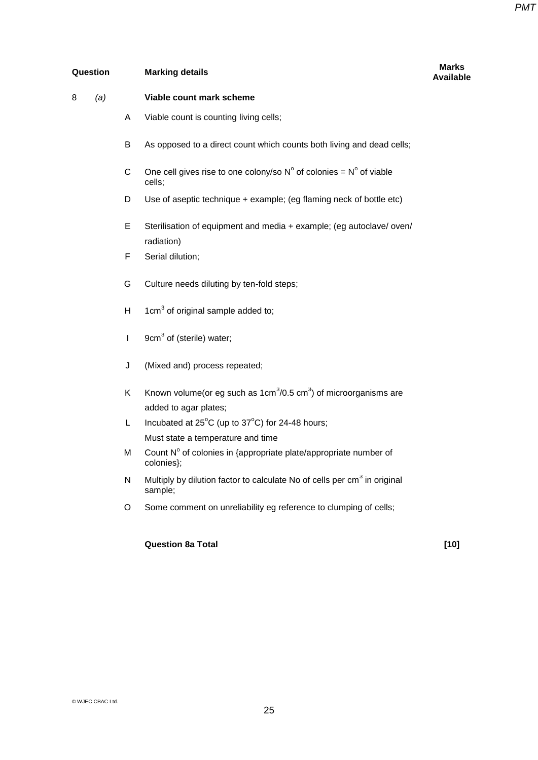**Available**

### **Question Marking details Marks**

# 8 *(a)* **Viable count mark scheme** A Viable count is counting living cells; B As opposed to a direct count which counts both living and dead cells; C One cell gives rise to one colony/so  $N^{\circ}$  of colonies =  $N^{\circ}$  of viable cells; D Use of aseptic technique + example; (eg flaming neck of bottle etc) E Sterilisation of equipment and media + example; (eg autoclave/ oven/ radiation) F Serial dilution; G Culture needs diluting by ten-fold steps; H  $1 \text{cm}^3$  of original sample added to;  $I = 9cm<sup>3</sup>$  of (sterile) water; J (Mixed and) process repeated; K Known volume(or eg such as 1cm $3/0.5$  cm $3$ ) of microorganisms are added to agar plates; L Incubated at  $25^{\circ}$ C (up to  $37^{\circ}$ C) for 24-48 hours; Must state a temperature and time M Count  $N^{\circ}$  of colonies in {appropriate plate/appropriate number of colonies}; N Multiply by dilution factor to calculate No of cells per  $cm<sup>3</sup>$  in original sample; O Some comment on unreliability eg reference to clumping of cells;

### **Question 8a Total [10]**